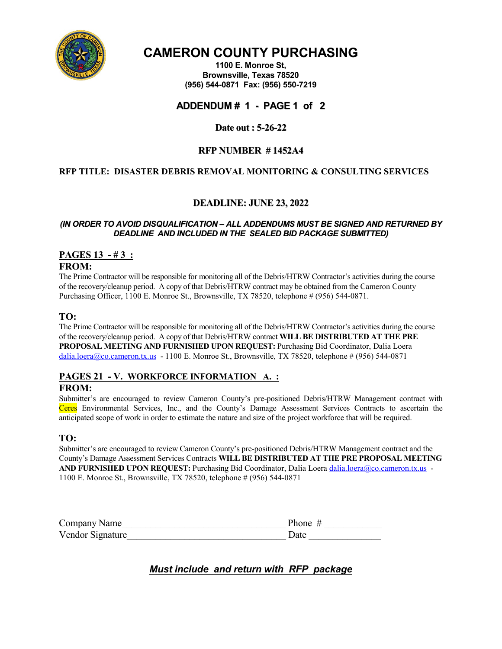

# **CAMERON COUNTY PURCHASING**

**1100 E. Monroe St, Brownsville, Texas 78520 (956) 544-0871 Fax: (956) 550-7219**

# **ADDENDUM # 1 - PAGE 1 of 2**

**Date out : 5-26-22**

## **RFP NUMBER # 1452A4**

## **RFP TITLE: DISASTER DEBRIS REMOVAL MONITORING & CONSULTING SERVICES**

# **DEADLINE: JUNE 23, 2022**

#### *(IN ORDER TO AVOID DISQUALIFICATION – ALL ADDENDUMS MUST BE SIGNED AND RETURNED BY DEADLINE AND INCLUDED IN THE SEALED BID PACKAGE SUBMITTED)*

# **PAGES 13 - # 3 :**

#### **FROM:**

The Prime Contractor will be responsible for monitoring all of the Debris/HTRW Contractor's activities during the course of the recovery/cleanup period. A copy of that Debris/HTRW contract may be obtained from the Cameron County Purchasing Officer, 1100 E. Monroe St., Brownsville, TX 78520, telephone # (956) 544-0871.

## **TO:**

The Prime Contractor will be responsible for monitoring all of the Debris/HTRW Contractor's activities during the course of the recovery/cleanup period. A copy of that Debris/HTRW contract **WILL BE DISTRIBUTED AT THE PRE PROPOSAL MEETING AND FURNISHED UPON REQUEST:** Purchasing Bid Coordinator, Dalia Loera [dalia.loera@co.cameron.tx.us](mailto:dalia.loera@co.cameron.tx.us) - 1100 E. Monroe St., Brownsville, TX 78520, telephone # (956) 544-0871

## **PAGES 21 - V. WORKFORCE INFORMATION A. :**

### **FROM:**

Submitter's are encouraged to review Cameron County's pre-positioned Debris/HTRW Management contract with Ceres Environmental Services, Inc., and the County's Damage Assessment Services Contracts to ascertain the anticipated scope of work in order to estimate the nature and size of the project workforce that will be required.

### **TO:**

Submitter's are encouraged to review Cameron County's pre-positioned Debris/HTRW Management contract and the County's Damage Assessment Services Contracts **WILL BE DISTRIBUTED AT THE PRE PROPOSAL MEETING**  AND FURNISHED UPON REQUEST: Purchasing Bid Coordinator, Dalia Loer[a dalia.loera@co.cameron.tx.us](mailto:dalia.loera@co.cameron.tx.us) -1100 E. Monroe St., Brownsville, TX 78520, telephone # (956) 544-0871

| Company Name     | Phone $#$ |
|------------------|-----------|
| Vendor Signature | Date      |

*Must include and return with RFP package*